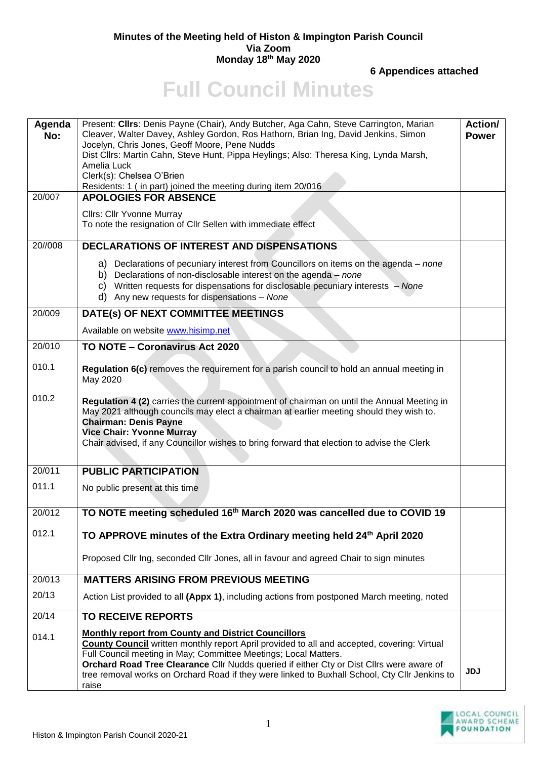## **Minutes of the Meeting held of Histon & Impington Parish Council Via Zoom Monday 18th May 2020**

**6 Appendices attached**

## **Full Council Minutes**

| Agenda<br>No:<br>20/007 | Present: Cllrs: Denis Payne (Chair), Andy Butcher, Aga Cahn, Steve Carrington, Marian<br>Cleaver, Walter Davey, Ashley Gordon, Ros Hathorn, Brian Ing, David Jenkins, Simon<br>Jocelyn, Chris Jones, Geoff Moore, Pene Nudds<br>Dist Cllrs: Martin Cahn, Steve Hunt, Pippa Heylings; Also: Theresa King, Lynda Marsh,<br>Amelia Luck<br>Clerk(s): Chelsea O'Brien<br>Residents: 1 (in part) joined the meeting during item 20/016<br><b>APOLOGIES FOR ABSENCE</b> | Action/<br><b>Power</b> |
|-------------------------|-------------------------------------------------------------------------------------------------------------------------------------------------------------------------------------------------------------------------------------------------------------------------------------------------------------------------------------------------------------------------------------------------------------------------------------------------------------------|-------------------------|
|                         | Cllrs: Cllr Yvonne Murray<br>To note the resignation of Cllr Sellen with immediate effect                                                                                                                                                                                                                                                                                                                                                                         |                         |
| 20//008                 | <b>DECLARATIONS OF INTEREST AND DISPENSATIONS</b>                                                                                                                                                                                                                                                                                                                                                                                                                 |                         |
|                         | a) Declarations of pecuniary interest from Councillors on items on the agenda – none<br>b) Declarations of non-disclosable interest on the agenda - none<br>c) Written requests for dispensations for disclosable pecuniary interests - None<br>d) Any new requests for dispensations - None                                                                                                                                                                      |                         |
| 20/009                  | DATE(s) OF NEXT COMMITTEE MEETINGS                                                                                                                                                                                                                                                                                                                                                                                                                                |                         |
|                         | Available on website www.hisimp.net                                                                                                                                                                                                                                                                                                                                                                                                                               |                         |
| 20/010                  | TO NOTE - Coronavirus Act 2020                                                                                                                                                                                                                                                                                                                                                                                                                                    |                         |
| 010.1                   | Regulation 6(c) removes the requirement for a parish council to hold an annual meeting in<br>May 2020                                                                                                                                                                                                                                                                                                                                                             |                         |
| 010.2                   | Regulation 4 (2) carries the current appointment of chairman on until the Annual Meeting in<br>May 2021 although councils may elect a chairman at earlier meeting should they wish to.<br><b>Chairman: Denis Payne</b><br><b>Vice Chair: Yvonne Murray</b><br>Chair advised, if any Councillor wishes to bring forward that election to advise the Clerk                                                                                                          |                         |
| 20/011                  | <b>PUBLIC PARTICIPATION</b>                                                                                                                                                                                                                                                                                                                                                                                                                                       |                         |
| 011.1                   | No public present at this time                                                                                                                                                                                                                                                                                                                                                                                                                                    |                         |
| 20/012                  | TO NOTE meeting scheduled 16th March 2020 was cancelled due to COVID 19                                                                                                                                                                                                                                                                                                                                                                                           |                         |
| 012.1                   | TO APPROVE minutes of the Extra Ordinary meeting held 24 <sup>th</sup> April 2020                                                                                                                                                                                                                                                                                                                                                                                 |                         |
|                         | Proposed Cllr Ing, seconded Cllr Jones, all in favour and agreed Chair to sign minutes                                                                                                                                                                                                                                                                                                                                                                            |                         |
| 20/013                  | <b>MATTERS ARISING FROM PREVIOUS MEETING</b>                                                                                                                                                                                                                                                                                                                                                                                                                      |                         |
| 20/13                   | Action List provided to all (Appx 1), including actions from postponed March meeting, noted                                                                                                                                                                                                                                                                                                                                                                       |                         |
| 20/14                   | <b>TO RECEIVE REPORTS</b>                                                                                                                                                                                                                                                                                                                                                                                                                                         |                         |
| 014.1                   | <b>Monthly report from County and District Councillors</b><br><b>County Council</b> written monthly report April provided to all and accepted, covering: Virtual<br>Full Council meeting in May; Committee Meetings; Local Matters.<br>Orchard Road Tree Clearance Cllr Nudds queried if either Cty or Dist Cllrs were aware of<br>tree removal works on Orchard Road if they were linked to Buxhall School, Cty Cllr Jenkins to<br>raise                         | <b>JDJ</b>              |

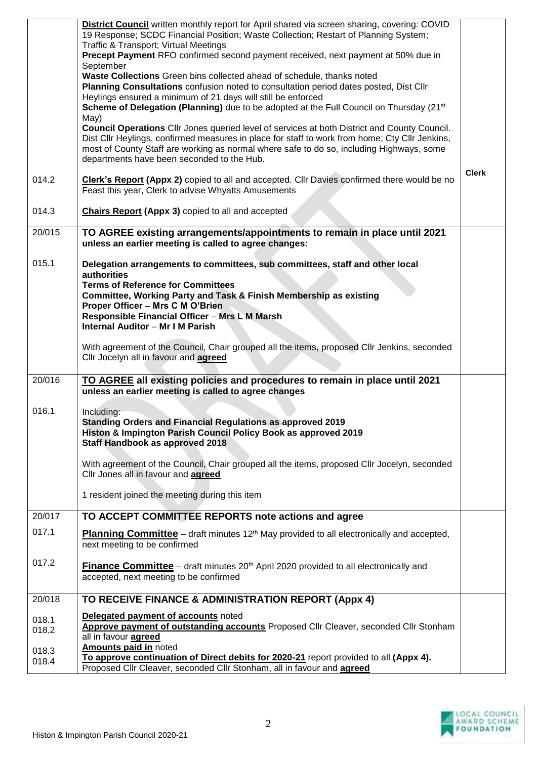|                | <b>District Council</b> written monthly report for April shared via screen sharing, covering: COVID                                                                                            |              |
|----------------|------------------------------------------------------------------------------------------------------------------------------------------------------------------------------------------------|--------------|
|                | 19 Response; SCDC Financial Position; Waste Collection; Restart of Planning System;<br><b>Traffic &amp; Transport; Virtual Meetings</b>                                                        |              |
|                | Precept Payment RFO confirmed second payment received, next payment at 50% due in                                                                                                              |              |
|                | September                                                                                                                                                                                      |              |
|                | Waste Collections Green bins collected ahead of schedule, thanks noted                                                                                                                         |              |
|                | Planning Consultations confusion noted to consultation period dates posted, Dist Cllr<br>Heylings ensured a minimum of 21 days will still be enforced                                          |              |
|                | Scheme of Delegation (Planning) due to be adopted at the Full Council on Thursday (21 <sup>st</sup>                                                                                            |              |
|                | May)                                                                                                                                                                                           |              |
|                | Council Operations Cllr Jones queried level of services at both District and County Council.<br>Dist Cllr Heylings, confirmed measures in place for staff to work from home; Cty Cllr Jenkins, |              |
|                | most of County Staff are working as normal where safe to do so, including Highways, some                                                                                                       |              |
|                | departments have been seconded to the Hub.                                                                                                                                                     |              |
|                |                                                                                                                                                                                                | <b>Clerk</b> |
| 014.2          | <b>Clerk's Report (Appx 2)</b> copied to all and accepted. Cllr Davies confirmed there would be no<br>Feast this year, Clerk to advise Whyatts Amusements                                      |              |
|                |                                                                                                                                                                                                |              |
| 014.3          | <b>Chairs Report (Appx 3)</b> copied to all and accepted                                                                                                                                       |              |
| 20/015         | TO AGREE existing arrangements/appointments to remain in place until 2021                                                                                                                      |              |
|                | unless an earlier meeting is called to agree changes:                                                                                                                                          |              |
| 015.1          | Delegation arrangements to committees, sub committees, staff and other local<br>authorities                                                                                                    |              |
|                | <b>Terms of Reference for Committees</b>                                                                                                                                                       |              |
|                | Committee, Working Party and Task & Finish Membership as existing                                                                                                                              |              |
|                | Proper Officer - Mrs C M O'Brien<br>Responsible Financial Officer - Mrs L M Marsh                                                                                                              |              |
|                | <b>Internal Auditor - Mr I M Parish</b>                                                                                                                                                        |              |
|                |                                                                                                                                                                                                |              |
|                | With agreement of the Council, Chair grouped all the items, proposed Cllr Jenkins, seconded<br>Cllr Jocelyn all in favour and <b>agreed</b>                                                    |              |
|                |                                                                                                                                                                                                |              |
| 20/016         | TO AGREE all existing policies and procedures to remain in place until 2021                                                                                                                    |              |
|                | unless an earlier meeting is called to agree changes                                                                                                                                           |              |
| 016.1          | Including:                                                                                                                                                                                     |              |
|                | Standing Orders and Financial Regulations as approved 2019                                                                                                                                     |              |
|                | Histon & Impington Parish Council Policy Book as approved 2019                                                                                                                                 |              |
|                | Staff Handbook as approved 2018                                                                                                                                                                |              |
|                | With agreement of the Council, Chair grouped all the items, proposed Cllr Jocelyn, seconded                                                                                                    |              |
|                | Cllr Jones all in favour and agreed                                                                                                                                                            |              |
|                | 1 resident joined the meeting during this item                                                                                                                                                 |              |
|                |                                                                                                                                                                                                |              |
| 20/017         | TO ACCEPT COMMITTEE REPORTS note actions and agree                                                                                                                                             |              |
| 017.1          | <b>Planning Committee</b> – draft minutes $12th$ May provided to all electronically and accepted,                                                                                              |              |
|                | next meeting to be confirmed                                                                                                                                                                   |              |
| 017.2          | <b>Finance Committee</b> – draft minutes 20 <sup>th</sup> April 2020 provided to all electronically and                                                                                        |              |
|                | accepted, next meeting to be confirmed                                                                                                                                                         |              |
|                |                                                                                                                                                                                                |              |
| 20/018         | TO RECEIVE FINANCE & ADMINISTRATION REPORT (Appx 4)                                                                                                                                            |              |
| 018.1          | Delegated payment of accounts noted                                                                                                                                                            |              |
| 018.2          | Approve payment of outstanding accounts Proposed Cllr Cleaver, seconded Cllr Stonham                                                                                                           |              |
|                | all in favour agreed<br><b>Amounts paid in noted</b>                                                                                                                                           |              |
| 018.3<br>018.4 | To approve continuation of Direct debits for 2020-21 report provided to all (Appx 4).                                                                                                          |              |
|                | Proposed Cllr Cleaver, seconded Cllr Stonham, all in favour and agreed                                                                                                                         |              |